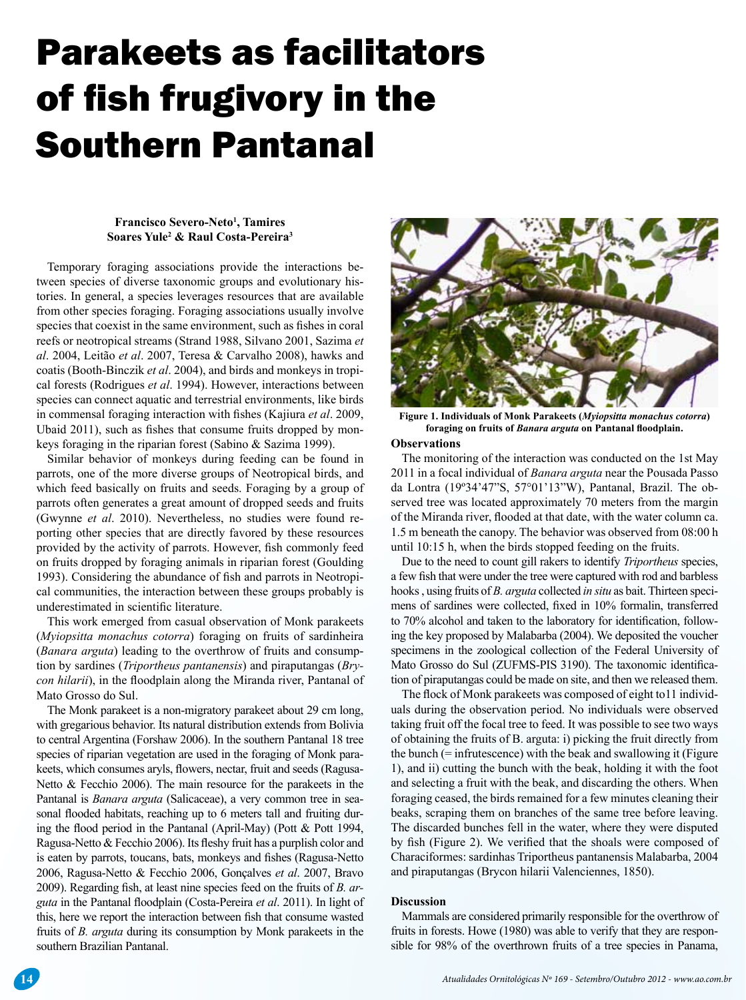# Parakeets as facilitators of fish frugivory in the Southern Pantanal

#### **Francisco Severo-Neto1 , Tamires Soares Yule2 & Raul Costa-Pereira3**

Temporary foraging associations provide the interactions between species of diverse taxonomic groups and evolutionary histories. In general, a species leverages resources that are available from other species foraging. Foraging associations usually involve species that coexist in the same environment, such as fishes in coral reefs or neotropical streams (Strand 1988, Silvano 2001, Sazima *et al*. 2004, Leitão *et al*. 2007, Teresa & Carvalho 2008), hawks and coatis (Booth-Binczik *et al*. 2004), and birds and monkeys in tropical forests (Rodrigues *et al*. 1994). However, interactions between species can connect aquatic and terrestrial environments, like birds in commensal foraging interaction with fshes (Kajiura *et al*. 2009, Ubaid 2011), such as fshes that consume fruits dropped by monkeys foraging in the riparian forest (Sabino & Sazima 1999).

Similar behavior of monkeys during feeding can be found in parrots, one of the more diverse groups of Neotropical birds, and which feed basically on fruits and seeds. Foraging by a group of parrots often generates a great amount of dropped seeds and fruits (Gwynne *et al*. 2010). Nevertheless, no studies were found reporting other species that are directly favored by these resources provided by the activity of parrots. However, fsh commonly feed on fruits dropped by foraging animals in riparian forest (Goulding 1993). Considering the abundance of fsh and parrots in Neotropical communities, the interaction between these groups probably is underestimated in scientifc literature.

This work emerged from casual observation of Monk parakeets (*Myiopsitta monachus cotorra*) foraging on fruits of sardinheira (*Banara arguta*) leading to the overthrow of fruits and consumption by sardines (*Triportheus pantanensis*) and piraputangas (*Brycon hilarii*), in the foodplain along the Miranda river, Pantanal of Mato Grosso do Sul.

The Monk parakeet is a non-migratory parakeet about 29 cm long, with gregarious behavior. Its natural distribution extends from Bolivia to central Argentina (Forshaw 2006). In the southern Pantanal 18 tree species of riparian vegetation are used in the foraging of Monk parakeets, which consumes aryls, fowers, nectar, fruit and seeds (Ragusa-Netto & Fecchio 2006). The main resource for the parakeets in the Pantanal is *Banara arguta* (Salicaceae), a very common tree in seasonal flooded habitats, reaching up to 6 meters tall and fruiting during the food period in the Pantanal (April-May) (Pott & Pott 1994, Ragusa-Netto & Fecchio 2006). Its feshy fruit has a purplish color and is eaten by parrots, toucans, bats, monkeys and fshes (Ragusa-Netto 2006, Ragusa-Netto & Fecchio 2006, Gonçalves *et al*. 2007, Bravo 2009). Regarding fsh, at least nine species feed on the fruits of *B. arguta* in the Pantanal foodplain (Costa-Pereira *et al*. 2011). In light of this, here we report the interaction between fsh that consume wasted fruits of *B. arguta* during its consumption by Monk parakeets in the southern Brazilian Pantanal.



**Figure 1. Individuals of Monk Parakeets (***Myiopsitta monachus cotorra***) foraging on fruits of** *Banara arguta* **on Pantanal foodplain.**

## **Observations**

The monitoring of the interaction was conducted on the 1st May 2011 in a focal individual of *Banara arguta* near the Pousada Passo da Lontra (19º34'47"S, 57°01'13"W), Pantanal, Brazil. The observed tree was located approximately 70 meters from the margin of the Miranda river, fooded at that date, with the water column ca. 1.5 m beneath the canopy. The behavior was observed from 08:00 h until 10:15 h, when the birds stopped feeding on the fruits.

Due to the need to count gill rakers to identify *Triportheus* species, a few fsh that were under the tree were captured with rod and barbless hooks , using fruits of *B. arguta* collected *in situ* as bait. Thirteen specimens of sardines were collected, fxed in 10% formalin, transferred to 70% alcohol and taken to the laboratory for identifcation, following the key proposed by Malabarba (2004). We deposited the voucher specimens in the zoological collection of the Federal University of Mato Grosso do Sul (ZUFMS-PIS 3190). The taxonomic identifcation of piraputangas could be made on site, and then we released them.

The fock of Monk parakeets was composed of eight to11 individuals during the observation period. No individuals were observed taking fruit off the focal tree to feed. It was possible to see two ways of obtaining the fruits of B. arguta: i) picking the fruit directly from the bunch  $(=$  infrutescence) with the beak and swallowing it (Figure 1), and ii) cutting the bunch with the beak, holding it with the foot and selecting a fruit with the beak, and discarding the others. When foraging ceased, the birds remained for a few minutes cleaning their beaks, scraping them on branches of the same tree before leaving. The discarded bunches fell in the water, where they were disputed by fsh (Figure 2). We verifed that the shoals were composed of Characiformes: sardinhas Triportheus pantanensis Malabarba, 2004 and piraputangas (Brycon hilarii Valenciennes, 1850).

### **Discussion**

Mammals are considered primarily responsible for the overthrow of fruits in forests. Howe (1980) was able to verify that they are responsible for 98% of the overthrown fruits of a tree species in Panama,